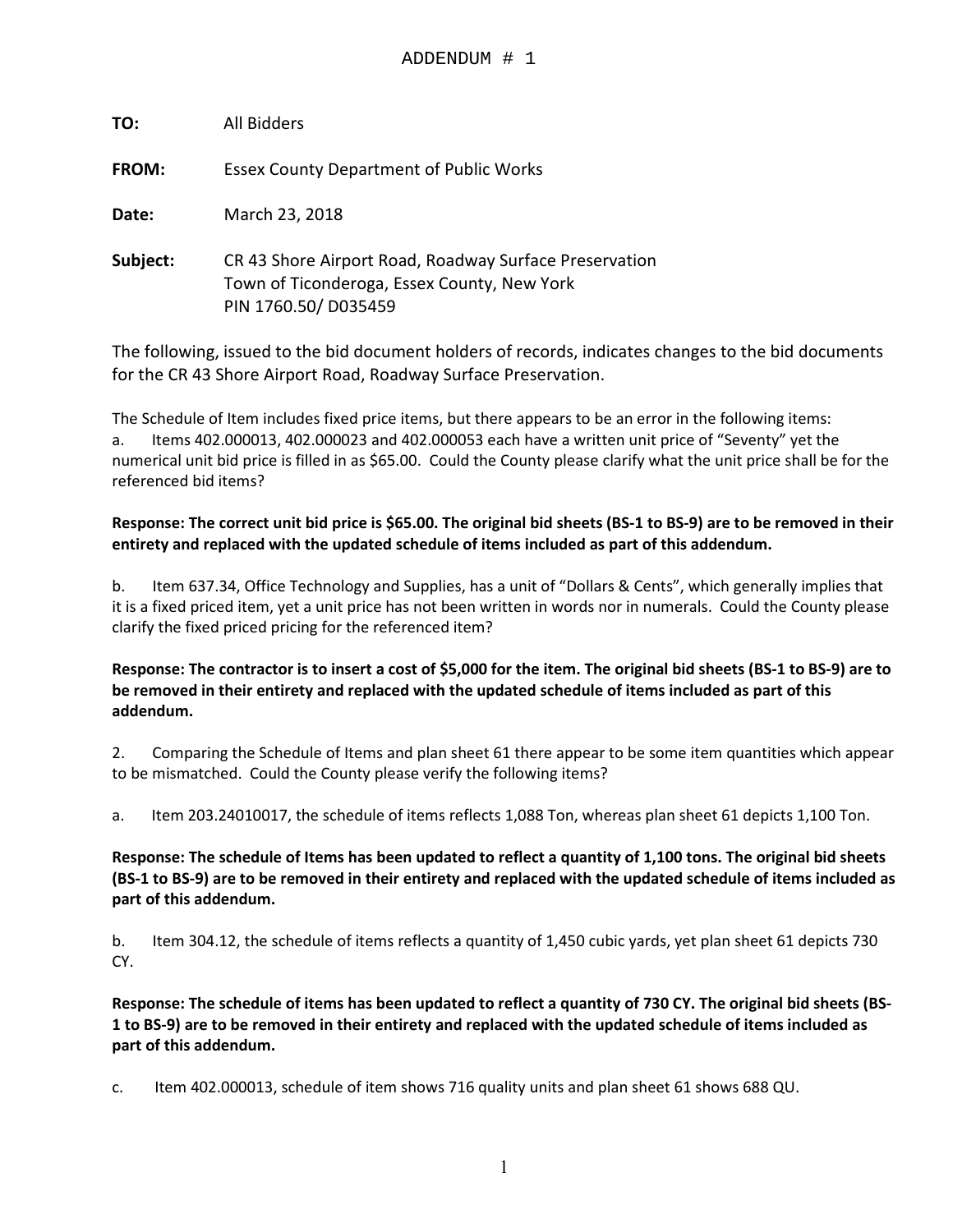| TO:          | All Bidders                                                                                                                  |
|--------------|------------------------------------------------------------------------------------------------------------------------------|
| <b>FROM:</b> | <b>Essex County Department of Public Works</b>                                                                               |
| Date:        | March 23, 2018                                                                                                               |
| Subject:     | CR 43 Shore Airport Road, Roadway Surface Preservation<br>Town of Ticonderoga, Essex County, New York<br>PIN 1760.50/D035459 |

The following, issued to the bid document holders of records, indicates changes to the bid documents for the CR 43 Shore Airport Road, Roadway Surface Preservation.

The Schedule of Item includes fixed price items, but there appears to be an error in the following items: a. Items 402.000013, 402.000023 and 402.000053 each have a written unit price of "Seventy" yet the numerical unit bid price is filled in as \$65.00. Could the County please clarify what the unit price shall be for the referenced bid items?

#### **Response: The correct unit bid price is \$65.00. The original bid sheets (BS-1 to BS-9) are to be removed in their entirety and replaced with the updated schedule of items included as part of this addendum.**

b. Item 637.34, Office Technology and Supplies, has a unit of "Dollars & Cents", which generally implies that it is a fixed priced item, yet a unit price has not been written in words nor in numerals. Could the County please clarify the fixed priced pricing for the referenced item?

#### **Response: The contractor is to insert a cost of \$5,000 for the item. The original bid sheets (BS-1 to BS-9) are to be removed in their entirety and replaced with the updated schedule of items included as part of this addendum.**

2. Comparing the Schedule of Items and plan sheet 61 there appear to be some item quantities which appear to be mismatched. Could the County please verify the following items?

a. Item 203.24010017, the schedule of items reflects 1,088 Ton, whereas plan sheet 61 depicts 1,100 Ton.

**Response: The schedule of Items has been updated to reflect a quantity of 1,100 tons. The original bid sheets (BS-1 to BS-9) are to be removed in their entirety and replaced with the updated schedule of items included as part of this addendum.** 

b. Item 304.12, the schedule of items reflects a quantity of 1,450 cubic yards, yet plan sheet 61 depicts 730 CY.

**Response: The schedule of items has been updated to reflect a quantity of 730 CY. The original bid sheets (BS-1 to BS-9) are to be removed in their entirety and replaced with the updated schedule of items included as part of this addendum.** 

c. Item 402.000013, schedule of item shows 716 quality units and plan sheet 61 shows 688 QU.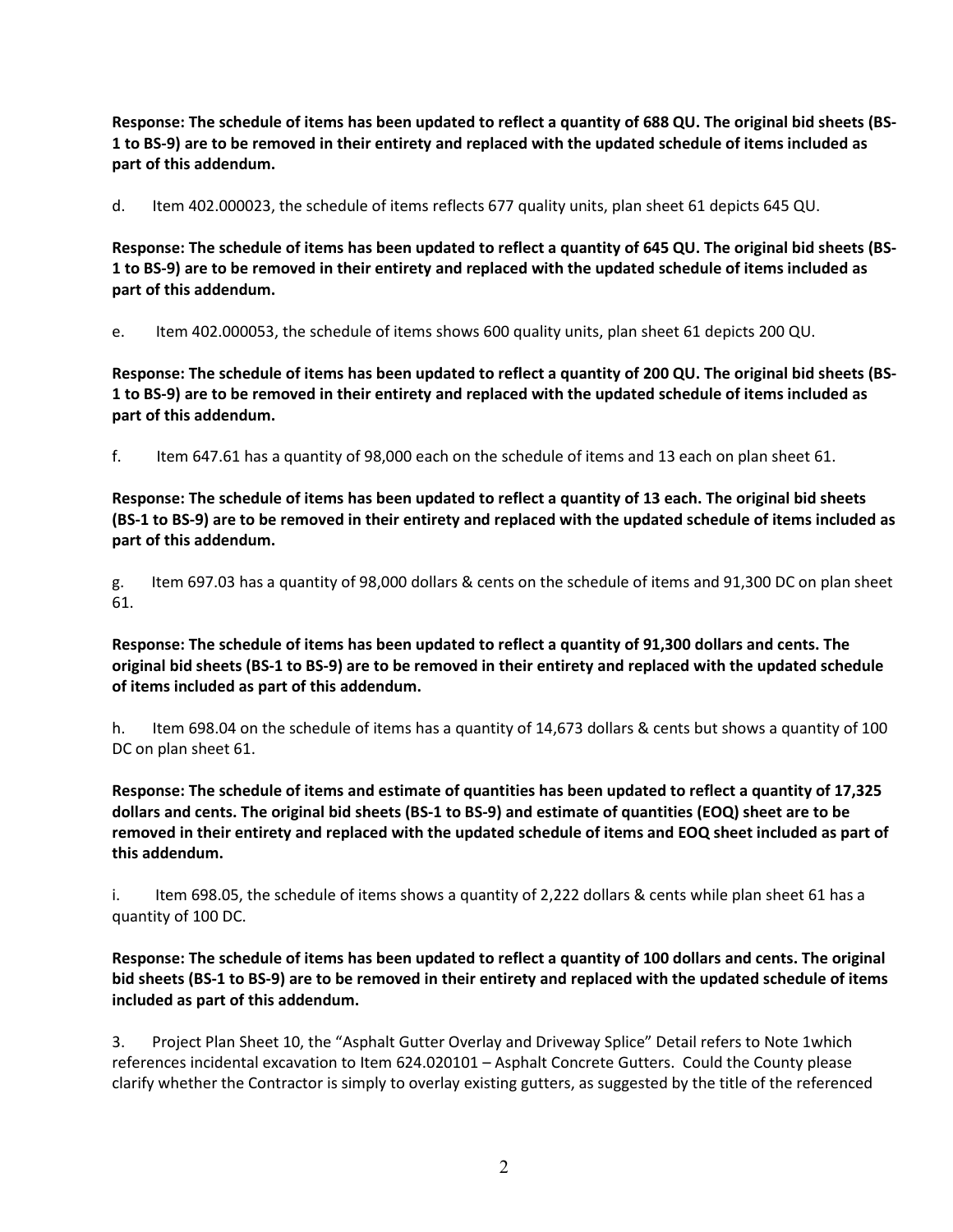**Response: The schedule of items has been updated to reflect a quantity of 688 QU. The original bid sheets (BS-1 to BS-9) are to be removed in their entirety and replaced with the updated schedule of items included as part of this addendum.** 

d. Item 402.000023, the schedule of items reflects 677 quality units, plan sheet 61 depicts 645 QU.

**Response: The schedule of items has been updated to reflect a quantity of 645 QU. The original bid sheets (BS-1 to BS-9) are to be removed in their entirety and replaced with the updated schedule of items included as part of this addendum.** 

e. Item 402.000053, the schedule of items shows 600 quality units, plan sheet 61 depicts 200 QU.

**Response: The schedule of items has been updated to reflect a quantity of 200 QU. The original bid sheets (BS-1 to BS-9) are to be removed in their entirety and replaced with the updated schedule of items included as part of this addendum.** 

f. Item 647.61 has a quantity of 98,000 each on the schedule of items and 13 each on plan sheet 61.

**Response: The schedule of items has been updated to reflect a quantity of 13 each. The original bid sheets (BS-1 to BS-9) are to be removed in their entirety and replaced with the updated schedule of items included as part of this addendum.** 

g. Item 697.03 has a quantity of 98,000 dollars & cents on the schedule of items and 91,300 DC on plan sheet 61.

**Response: The schedule of items has been updated to reflect a quantity of 91,300 dollars and cents. The original bid sheets (BS-1 to BS-9) are to be removed in their entirety and replaced with the updated schedule of items included as part of this addendum.** 

h. Item 698.04 on the schedule of items has a quantity of 14,673 dollars & cents but shows a quantity of 100 DC on plan sheet 61.

**Response: The schedule of items and estimate of quantities has been updated to reflect a quantity of 17,325 dollars and cents. The original bid sheets (BS-1 to BS-9) and estimate of quantities (EOQ) sheet are to be removed in their entirety and replaced with the updated schedule of items and EOQ sheet included as part of this addendum.** 

i. Item 698.05, the schedule of items shows a quantity of 2,222 dollars & cents while plan sheet 61 has a quantity of 100 DC.

**Response: The schedule of items has been updated to reflect a quantity of 100 dollars and cents. The original bid sheets (BS-1 to BS-9) are to be removed in their entirety and replaced with the updated schedule of items included as part of this addendum.** 

3. Project Plan Sheet 10, the "Asphalt Gutter Overlay and Driveway Splice" Detail refers to Note 1which references incidental excavation to Item 624.020101 – Asphalt Concrete Gutters. Could the County please clarify whether the Contractor is simply to overlay existing gutters, as suggested by the title of the referenced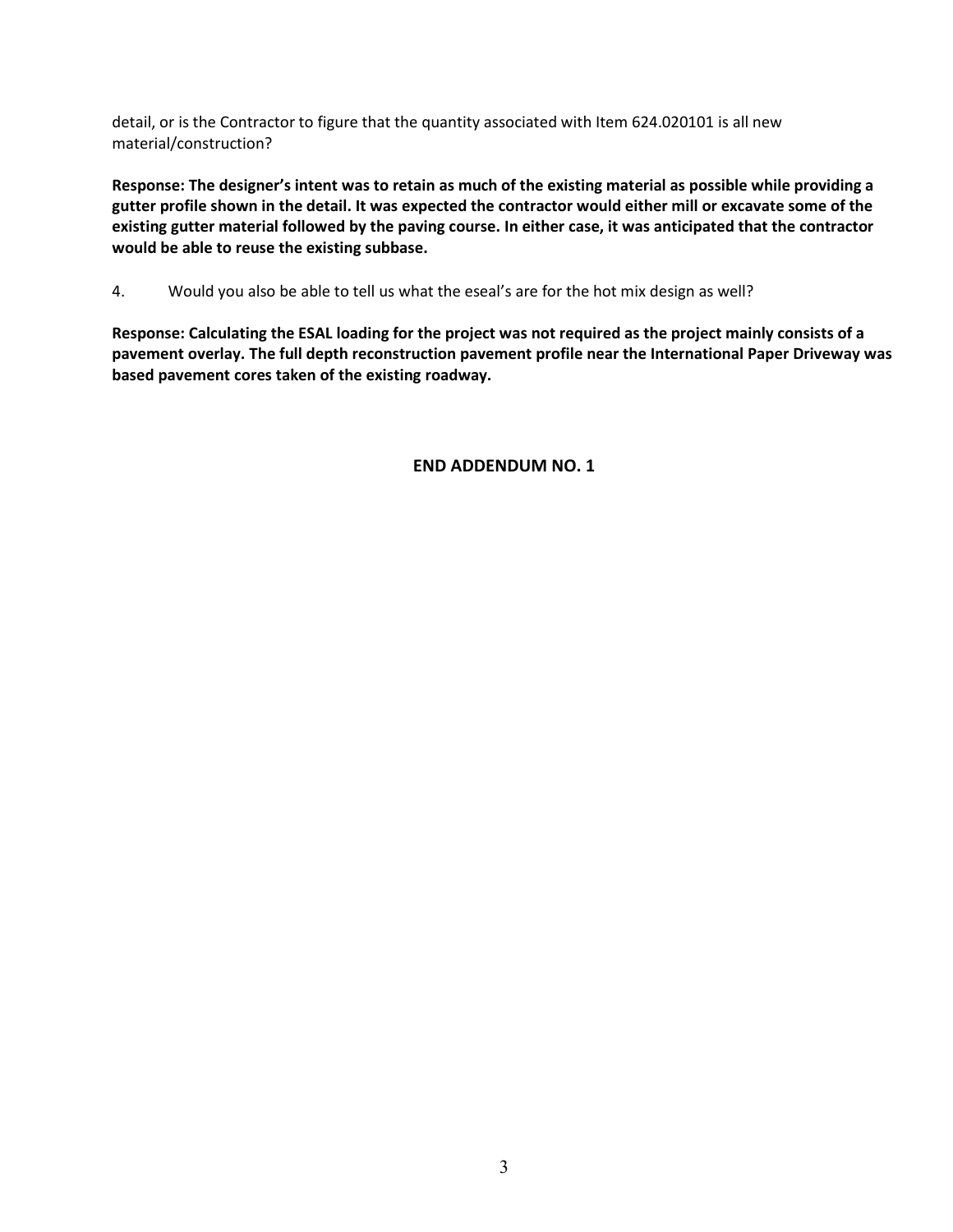detail, or is the Contractor to figure that the quantity associated with Item 624.020101 is all new material/construction?

**Response: The designer's intent was to retain as much of the existing material as possible while providing a gutter profile shown in the detail. It was expected the contractor would either mill or excavate some of the existing gutter material followed by the paving course. In either case, it was anticipated that the contractor would be able to reuse the existing subbase.** 

4. Would you also be able to tell us what the eseal's are for the hot mix design as well?

**Response: Calculating the ESAL loading for the project was not required as the project mainly consists of a pavement overlay. The full depth reconstruction pavement profile near the International Paper Driveway was based pavement cores taken of the existing roadway.**

**END ADDENDUM NO. 1**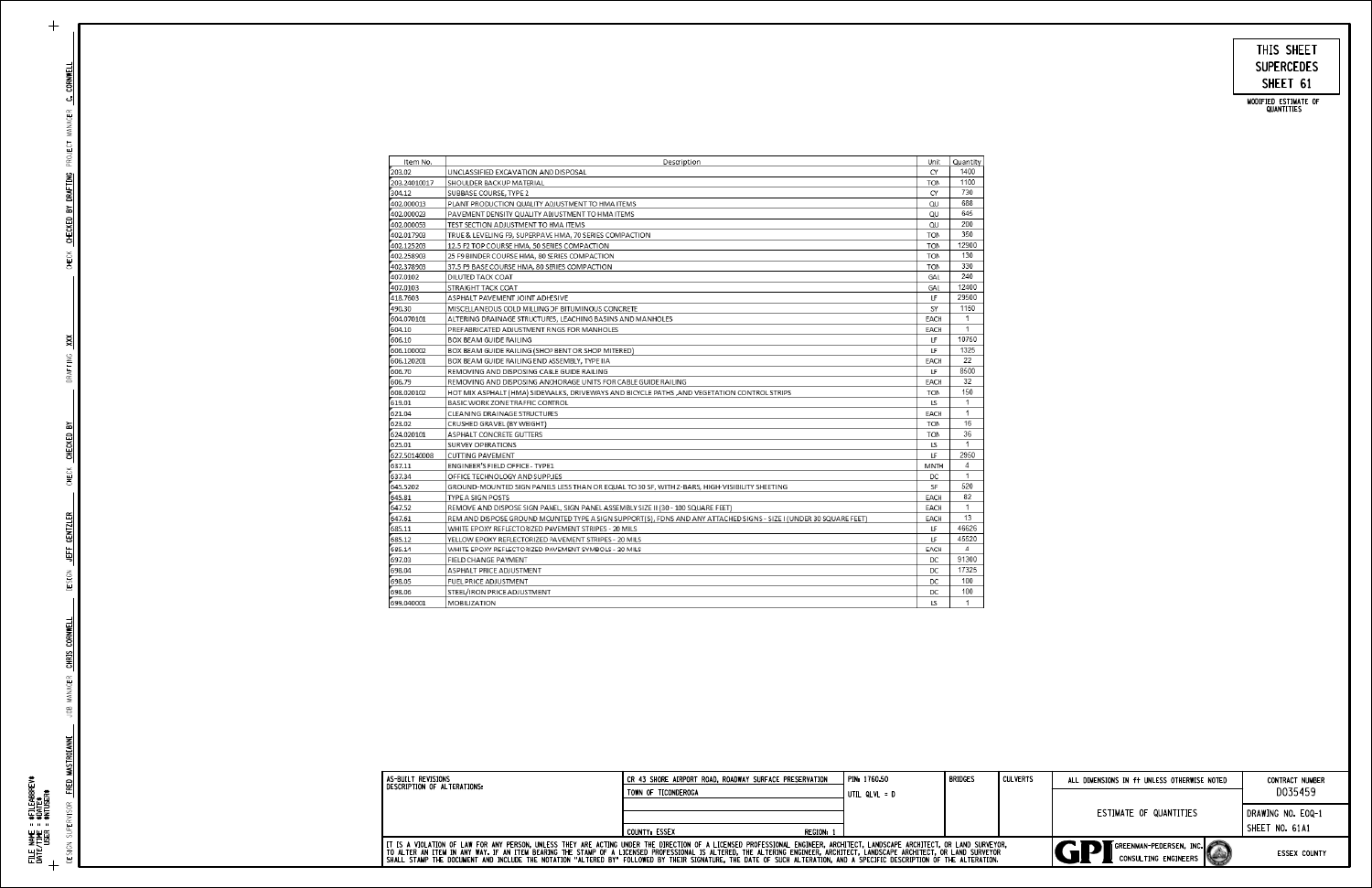# SHEET 61 SUPERCEDES THIS SHEET

MODIFIED ESTIMATE OF<br>QUANTITIES

DESIGN SUPERVISOR

PROJECT MANAGER

AAA CREEK SHEEKED DI DAW'ING FROSES MANAGER <mark>CA COMMELL</mark>

DRAFTING XXX

| Item No.     | Description                                                                                                        | Unit        | Quantity       |
|--------------|--------------------------------------------------------------------------------------------------------------------|-------------|----------------|
| 203.02       | UNCLASSIFIED EXCAVATION AND DISPOSAL                                                                               | CY          | 1400           |
| 203.24010017 | SHOULDER BACKUP MATERIAL                                                                                           | <b>TON</b>  | 1100           |
| 304.12       | SUBBASE COURSE, TYPE 2                                                                                             | CY          | 730            |
| 402.000013   | PLANT PRODUCTION QUALITY ADJUSTMENT TO HMA ITEMS                                                                   | QU          | 688            |
| 402.000023   | PAVEMENT DENSITY QUALITY ADJUSTMENT TO HMA ITEMS                                                                   | QU          | 645            |
| 402.000053   | TEST SECTION ADJUSTMENT TO HMA ITEMS                                                                               | QU          | 200            |
| 402.017903   | TRUE & LEVELING F9, SUPERPAVE HMA, 70 SERIES COMPACTION                                                            | <b>TON</b>  | 350            |
| 402.125203   | 12.5 F2 TOP COURSE HMA, 50 SERIES COMPACTION                                                                       | <b>TON</b>  | 12900          |
| 402.258903   | 25 F9 BINDER COURSE HMA, 80 SERIES COMPACTION                                                                      | <b>TON</b>  | 130            |
| 402.378903   | 37.5 F9 BASE COURSE HMA, 80 SERIES COMPACTION                                                                      | <b>TON</b>  | 330            |
| 407.0102     | <b>DILUTED TACK COAT</b>                                                                                           | GAL         | 240            |
| 407.0103     | STRAIGHT TACK COAT                                                                                                 | GAL         | 12400          |
| 418.7603     | ASPHALT PAVEMENT JOINT ADHESIVE                                                                                    | LF          | 29500          |
| 490.30       | MISCELLANEOUS COLD MILLING OF BITUMINOUS CONCRETE                                                                  | SY          | 1150           |
| 604.070101   | ALTERING DRAINAGE STRUCTURES, LEACHING BASINS AND MANHOLES                                                         | EACH        | 1              |
| 604.10       | PREFABRICATED ADJUSTMENT RINGS FOR MANHOLES                                                                        | EACH        | $\mathbf{1}$   |
| 606.10       | <b>BOX BEAM GUIDE RAILING</b>                                                                                      | LF          | 10750          |
| 606.100002   | BOX BEAM GUIDE RAILING (SHOP BENT OR SHOP MITERED)                                                                 | LF          | 1325           |
| 606.120201   | BOX BEAM GUIDE RAILING END ASSEMBLY, TYPE IIA                                                                      | EACH        | 22             |
| 606.70       | REMOVING AND DISPOSING CABLE GUIDE RAILING                                                                         | LF          | 8500           |
| 606.79       | REMOVING AND DISPOSING ANCHORAGE UNITS FOR CABLE GUIDE RAILING                                                     | EACH        | 32             |
| 608.020102   | HOT MIX ASPHALT (HMA) SIDEWALKS, DRIVEWAYS AND BICYCLE PATHS ,AND VEGETATION CONTROL STRIPS                        | <b>TON</b>  | 150            |
| 619.01       | BASIC WORK ZONE TRAFFIC CONTROL                                                                                    | LS          | 1              |
| 621.04       | CLEANING DRAINAGE STRUCTURES                                                                                       | EACH        | $\mathbf{1}$   |
| 623.02       | CRUSHED GRAVEL (BY WEIGHT)                                                                                         | <b>TON</b>  | 16             |
| 624.020101   | ASPHALT CONCRETE GUTTERS                                                                                           | <b>TON</b>  | 36             |
| 625.01       | SURVEY OPERATIONS                                                                                                  | LS          | $\mathbf{1}$   |
| 627.50140008 | <b>CUTTING PAVEMENT</b>                                                                                            | LF          | 2950           |
| 637.11       | ENGINEER'S FIELD OFFICE - TYPE 1                                                                                   | <b>MNTH</b> | 4              |
| 637.34       | OFFICE TECHNOLOGY AND SUPPLIES                                                                                     | DC          | $\mathbf{1}$   |
| 645.5202     | GROUND-MOUNTED SIGN PANELS LESS THAN OR EQUAL TO 30 SF, WITH Z-BARS, HIGH-VISIBILITY SHEETING                      | SF          | 520            |
| 645.81       | <b>TYPE A SIGN POSTS</b>                                                                                           | EACH        | 82             |
| 647.52       | REMOVE AND DISPOSE SIGN PANEL, SIGN PANEL ASSEMBLY SIZE II (30 - 100 SQUARE FEET)                                  | EACH        | 1              |
| 647.61       | REM AND DISPOSE GROUND MOUNTED TYPE A SIGN SUPPORT(S), FDNS AND ANY ATTACHED SIGNS - SIZE I (UNDER 30 SQUARE FEET) | EACH        | 13             |
| 685.11       | WHITE EPOXY REFLECTORIZED PAVEMENT STRIPES - 20 MILS                                                               | LF          | 46626          |
| 685.12       | YELLOW EPOXY REFLECTORIZED PAVEMENT STRIPES - 20 MILS                                                              | LF          | 45520          |
| 685.14       | WHITE EPOXY REFLECTORIZED PAVEMENT SYMBOLS - 20 MILS                                                               | EACH        | 4              |
| 697.03       | FIELD CHANGE PAYMENT                                                                                               | DC          | 91300          |
| 698.04       | ASPHALT PRICE ADJUSTMENT                                                                                           | DC          | 17325          |
| 698.05       | FUEL PRICE ADJUSTMENT                                                                                              | DC          | 100            |
| 698.06       | STEEL/IRON PRICE ADJUSTMENT                                                                                        | DC          | 100            |
| 699.040001   | <b>MOBILIZATION</b>                                                                                                | LS          | $\overline{1}$ |

| <b>I</b> AS-BUILT REVISIONS                                                                                                                                                                                                                                                                                                                                                                                                                                                                                                        | CR 43 SHORE AIRPORT ROAD, ROADWAY SURFACE PRESERVATION | I PIN: 1760.50 | <b>BRIDGES</b> | I CULVERTS | ALL DIMENSIONS IN ft UNLESS OTHERWISE NOTED            | <b>CONTRACT NUMBER</b> |
|------------------------------------------------------------------------------------------------------------------------------------------------------------------------------------------------------------------------------------------------------------------------------------------------------------------------------------------------------------------------------------------------------------------------------------------------------------------------------------------------------------------------------------|--------------------------------------------------------|----------------|----------------|------------|--------------------------------------------------------|------------------------|
| I DESCRIPTION OF ALTERATIONS:                                                                                                                                                                                                                                                                                                                                                                                                                                                                                                      | TOWN OF TICONDEROGA                                    | UTIL QLVL = D  |                |            |                                                        | D035459                |
|                                                                                                                                                                                                                                                                                                                                                                                                                                                                                                                                    |                                                        |                |                |            | ESTIMATE OF QUANTITIES                                 | DRAWING NO. EOQ-1      |
|                                                                                                                                                                                                                                                                                                                                                                                                                                                                                                                                    | REGION: 1<br>COUNTY: ESSEX                             |                |                |            |                                                        | SHEET NO. 61A1         |
| I IT IS A VIOLATION OF LAW FOR ANY PERSON, UNLESS THEY ARE ACTING UNDER THE DIRECTION OF A LICENSED PROFESSIONAL ENGINEER, ARCHITECT, LANDSCAPE ARCHITECT, OR LAND SURVEYOR,<br>TO ALTER AN ITEM IN ANY WAY. IF AN ITEM BEARING THE STAMP OF A LICENSED PROFESSIONAL IS ALTERED, THE ALTERING ENGINEER, ARCHITECT, LANDSCAPE ARCHITECT, OR LAND SURVEYOR<br>SHALL STAMP THE DOCUMENT AND INCLUDE THE NOTATION "ALTERED BY" FOLLOWED BY THEIR SIGNATURE, THE DATE OF SUCH ALTERATION, AND A SPECIFIC DESCRIPTION OF THE ALTERATION, |                                                        |                |                |            | GREENMAN-PEDERSEN. INC.<br><b>CONSULTING ENGINEERS</b> | <b>ESSEX COUNTY</b>    |

 $+$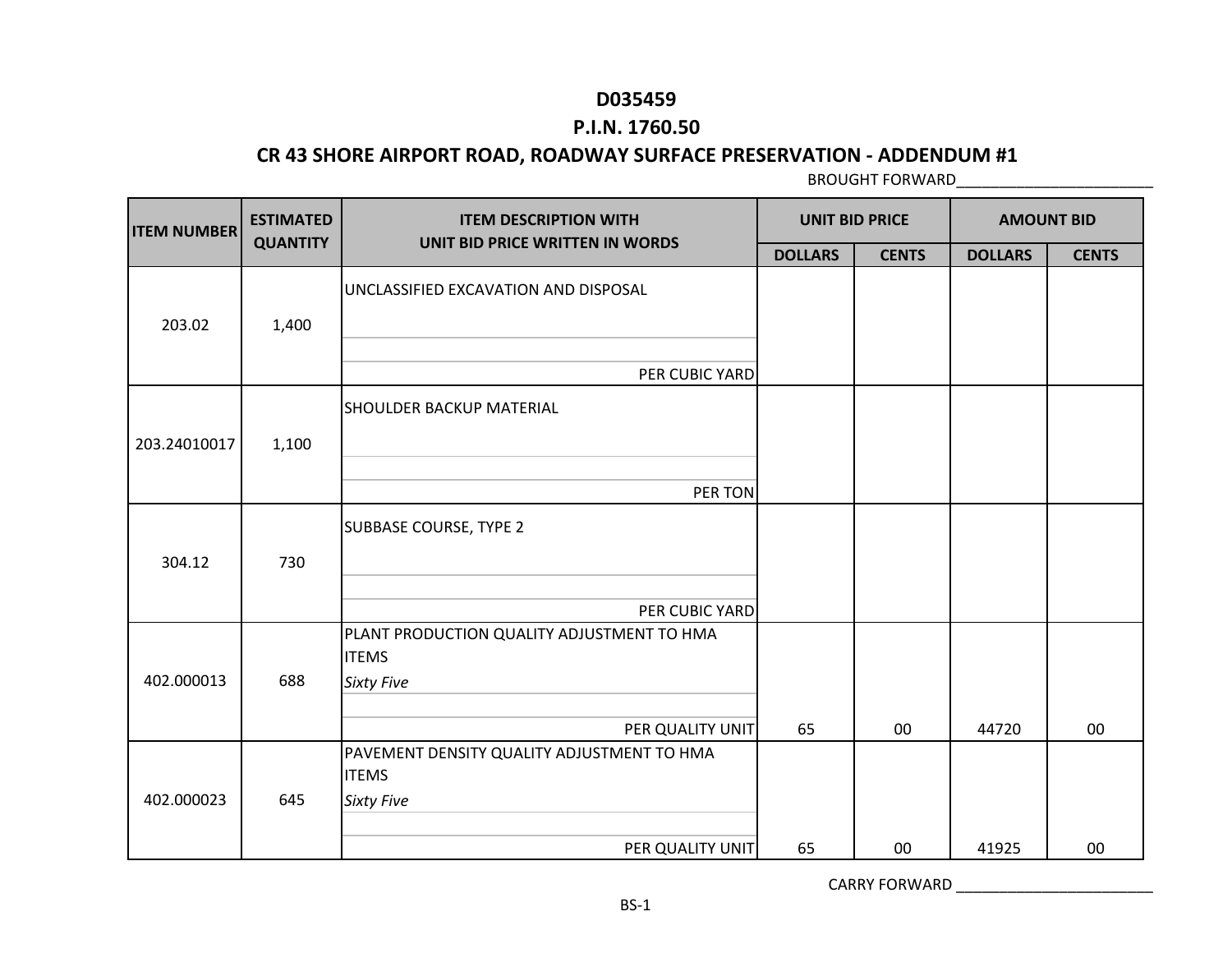### **P.I.N. 1760.50**

#### **CR 43 SHORE AIRPORT ROAD, ROADWAY SURFACE PRESERVATION - ADDENDUM #1**

BROUGHT FORWARD\_\_\_\_\_\_\_\_\_\_\_\_\_\_\_\_\_\_\_\_\_\_\_

| <b>ITEM NUMBER</b> | <b>ESTIMATED</b> | <b>ITEM DESCRIPTION WITH</b><br>UNIT BID PRICE WRITTEN IN WORDS                 |                | <b>UNIT BID PRICE</b> | <b>AMOUNT BID</b> |              |
|--------------------|------------------|---------------------------------------------------------------------------------|----------------|-----------------------|-------------------|--------------|
|                    | <b>QUANTITY</b>  |                                                                                 | <b>DOLLARS</b> | <b>CENTS</b>          | <b>DOLLARS</b>    | <b>CENTS</b> |
| 203.02             | 1,400            | UNCLASSIFIED EXCAVATION AND DISPOSAL                                            |                |                       |                   |              |
|                    |                  | PER CUBIC YARD                                                                  |                |                       |                   |              |
|                    |                  | <b>SHOULDER BACKUP MATERIAL</b>                                                 |                |                       |                   |              |
| 203.24010017       | 1,100            |                                                                                 |                |                       |                   |              |
|                    |                  | PER TON                                                                         |                |                       |                   |              |
| 304.12             | 730              | <b>SUBBASE COURSE, TYPE 2</b>                                                   |                |                       |                   |              |
|                    |                  | PER CUBIC YARD                                                                  |                |                       |                   |              |
| 402.000013         | 688              | PLANT PRODUCTION QUALITY ADJUSTMENT TO HMA<br><b>ITEMS</b><br><b>Sixty Five</b> |                |                       |                   |              |
|                    |                  | PER QUALITY UNIT                                                                | 65             | 00                    | 44720             | 00           |
|                    |                  | PAVEMENT DENSITY QUALITY ADJUSTMENT TO HMA<br><b>ITEMS</b>                      |                |                       |                   |              |
| 402.000023         | 645              | <b>Sixty Five</b>                                                               |                |                       |                   |              |
|                    |                  | PER QUALITY UNIT                                                                | 65             | 00                    | 41925             | 00           |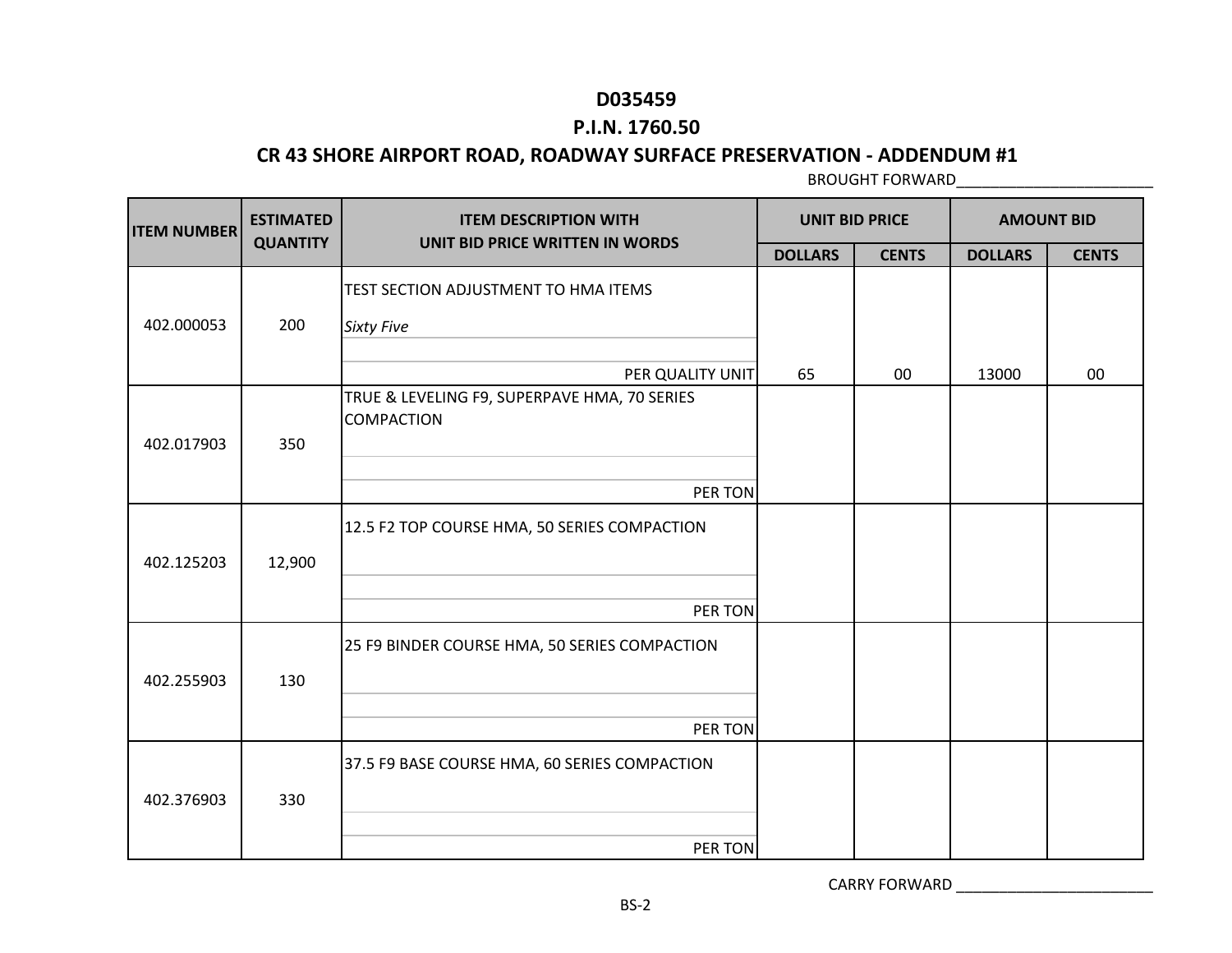### **P.I.N. 1760.50**

### **CR 43 SHORE AIRPORT ROAD, ROADWAY SURFACE PRESERVATION - ADDENDUM #1**

BROUGHT FORWARD\_\_\_\_\_\_\_\_\_\_\_\_\_\_\_\_\_\_\_\_\_\_\_

| <b>ITEM NUMBER</b> | <b>ESTIMATED</b> | <b>ITEM DESCRIPTION WITH</b>                                      | <b>UNIT BID PRICE</b> |              | <b>AMOUNT BID</b> |              |
|--------------------|------------------|-------------------------------------------------------------------|-----------------------|--------------|-------------------|--------------|
|                    | <b>QUANTITY</b>  | UNIT BID PRICE WRITTEN IN WORDS                                   | <b>DOLLARS</b>        | <b>CENTS</b> | <b>DOLLARS</b>    | <b>CENTS</b> |
|                    |                  | TEST SECTION ADJUSTMENT TO HMA ITEMS                              |                       |              |                   |              |
| 402.000053         | 200              | <b>Sixty Five</b>                                                 |                       |              |                   |              |
|                    |                  | PER QUALITY UNIT                                                  | 65                    | 00           | 13000             | 00           |
| 402.017903         | 350              | TRUE & LEVELING F9, SUPERPAVE HMA, 70 SERIES<br><b>COMPACTION</b> |                       |              |                   |              |
|                    |                  | PER TON                                                           |                       |              |                   |              |
|                    |                  | 12.5 F2 TOP COURSE HMA, 50 SERIES COMPACTION                      |                       |              |                   |              |
| 402.125203         | 12,900           |                                                                   |                       |              |                   |              |
|                    |                  | PER TON                                                           |                       |              |                   |              |
| 402.255903         | 130              | 25 F9 BINDER COURSE HMA, 50 SERIES COMPACTION                     |                       |              |                   |              |
|                    |                  |                                                                   |                       |              |                   |              |
|                    |                  | PER TON                                                           |                       |              |                   |              |
|                    |                  | 37.5 F9 BASE COURSE HMA, 60 SERIES COMPACTION                     |                       |              |                   |              |
| 402.376903         | 330              |                                                                   |                       |              |                   |              |
|                    |                  | PER TON                                                           |                       |              |                   |              |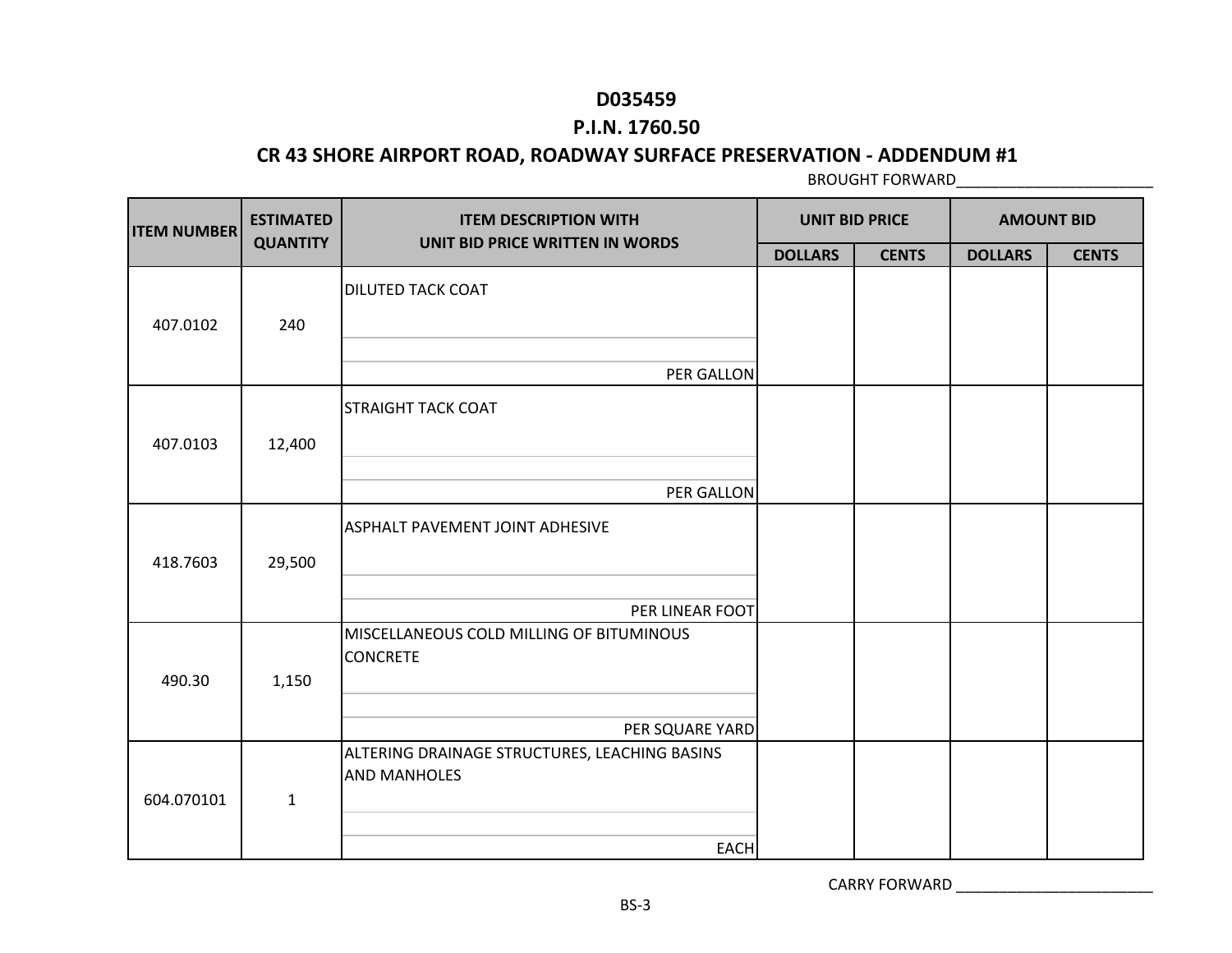### **P.I.N. 1760.50**

#### **CR 43 SHORE AIRPORT ROAD, ROADWAY SURFACE PRESERVATION - ADDENDUM #1**

BROUGHT FORWARD\_\_\_\_\_\_\_\_\_\_\_\_\_\_\_\_\_\_\_\_\_\_\_

| <b>ITEM NUMBER</b> | <b>ESTIMATED</b> | <b>ITEM DESCRIPTION WITH</b><br>UNIT BID PRICE WRITTEN IN WORDS      | <b>UNIT BID PRICE</b> |              |                | <b>AMOUNT BID</b> |
|--------------------|------------------|----------------------------------------------------------------------|-----------------------|--------------|----------------|-------------------|
|                    | <b>QUANTITY</b>  |                                                                      | <b>DOLLARS</b>        | <b>CENTS</b> | <b>DOLLARS</b> | <b>CENTS</b>      |
| 407.0102           | 240              | <b>DILUTED TACK COAT</b>                                             |                       |              |                |                   |
|                    |                  | PER GALLON                                                           |                       |              |                |                   |
| 407.0103           | 12,400           | <b>STRAIGHT TACK COAT</b>                                            |                       |              |                |                   |
|                    |                  | PER GALLON                                                           |                       |              |                |                   |
| 418.7603           | 29,500           | <b>ASPHALT PAVEMENT JOINT ADHESIVE</b>                               |                       |              |                |                   |
|                    |                  | PER LINEAR FOOT                                                      |                       |              |                |                   |
| 490.30             | 1,150            | MISCELLANEOUS COLD MILLING OF BITUMINOUS<br><b>CONCRETE</b>          |                       |              |                |                   |
|                    |                  | PER SQUARE YARD                                                      |                       |              |                |                   |
| 604.070101         | $\mathbf{1}$     | ALTERING DRAINAGE STRUCTURES, LEACHING BASINS<br><b>AND MANHOLES</b> |                       |              |                |                   |
|                    |                  | <b>EACH</b>                                                          |                       |              |                |                   |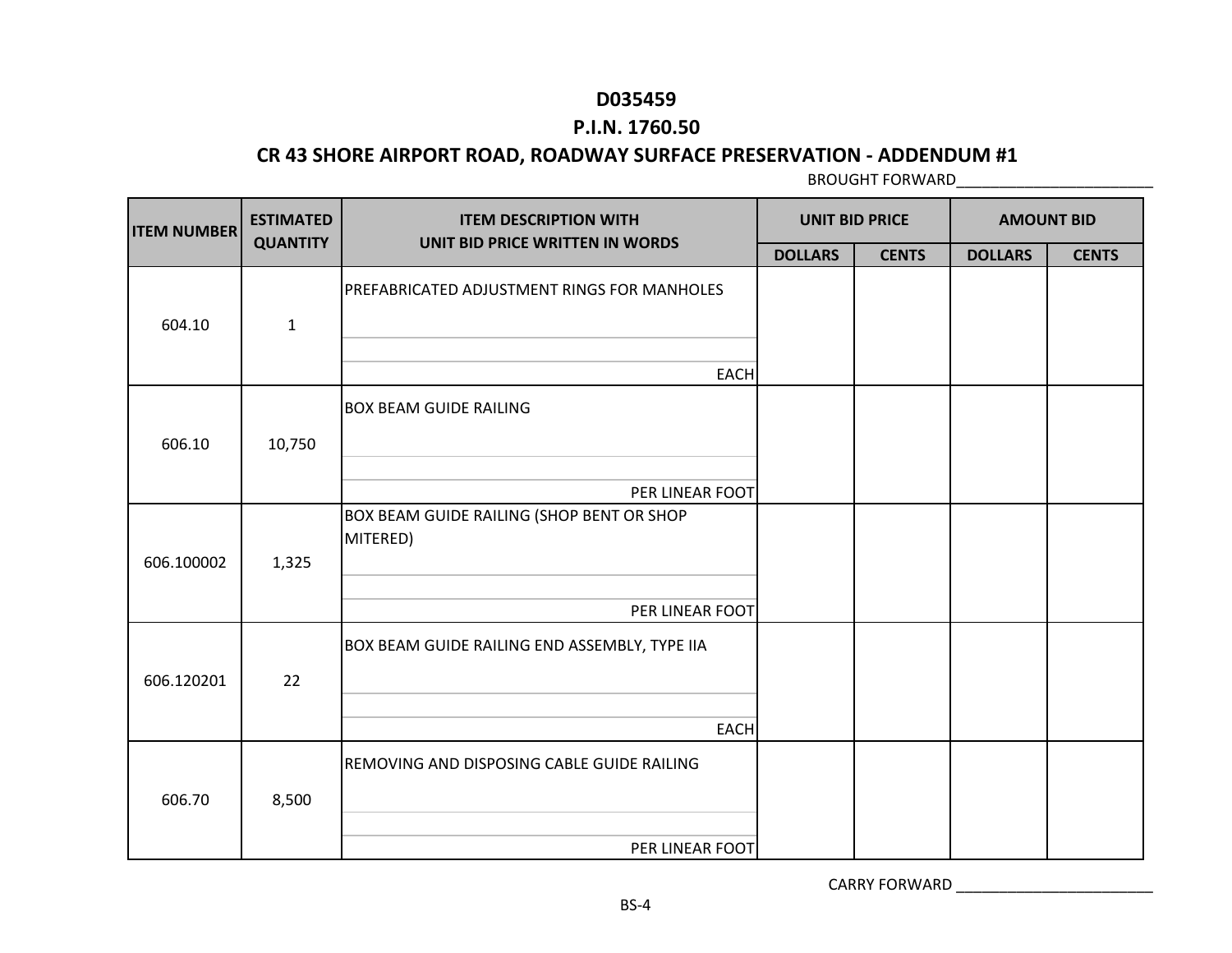### **P.I.N. 1760.50**

#### **CR 43 SHORE AIRPORT ROAD, ROADWAY SURFACE PRESERVATION - ADDENDUM #1**

BROUGHT FORWARD\_\_\_\_\_\_\_\_\_\_\_\_\_\_\_\_\_\_\_\_\_\_\_

| <b>ITEM NUMBER</b> | <b>ESTIMATED</b> | <b>ITEM DESCRIPTION WITH</b><br>UNIT BID PRICE WRITTEN IN WORDS | <b>UNIT BID PRICE</b> |              | <b>AMOUNT BID</b> |              |
|--------------------|------------------|-----------------------------------------------------------------|-----------------------|--------------|-------------------|--------------|
|                    | <b>QUANTITY</b>  |                                                                 | <b>DOLLARS</b>        | <b>CENTS</b> | <b>DOLLARS</b>    | <b>CENTS</b> |
|                    |                  | PREFABRICATED ADJUSTMENT RINGS FOR MANHOLES                     |                       |              |                   |              |
| 604.10             | $\mathbf 1$      |                                                                 |                       |              |                   |              |
|                    |                  | <b>EACH</b>                                                     |                       |              |                   |              |
|                    |                  | <b>BOX BEAM GUIDE RAILING</b>                                   |                       |              |                   |              |
| 606.10             | 10,750           |                                                                 |                       |              |                   |              |
|                    |                  | PER LINEAR FOOT                                                 |                       |              |                   |              |
| 606.100002         | 1,325            | BOX BEAM GUIDE RAILING (SHOP BENT OR SHOP<br>MITERED)           |                       |              |                   |              |
|                    |                  | PER LINEAR FOOT                                                 |                       |              |                   |              |
|                    |                  | BOX BEAM GUIDE RAILING END ASSEMBLY, TYPE IIA                   |                       |              |                   |              |
| 606.120201         | 22               |                                                                 |                       |              |                   |              |
|                    |                  | <b>EACH</b>                                                     |                       |              |                   |              |
| 606.70             | 8,500            | REMOVING AND DISPOSING CABLE GUIDE RAILING                      |                       |              |                   |              |
|                    |                  | PER LINEAR FOOT                                                 |                       |              |                   |              |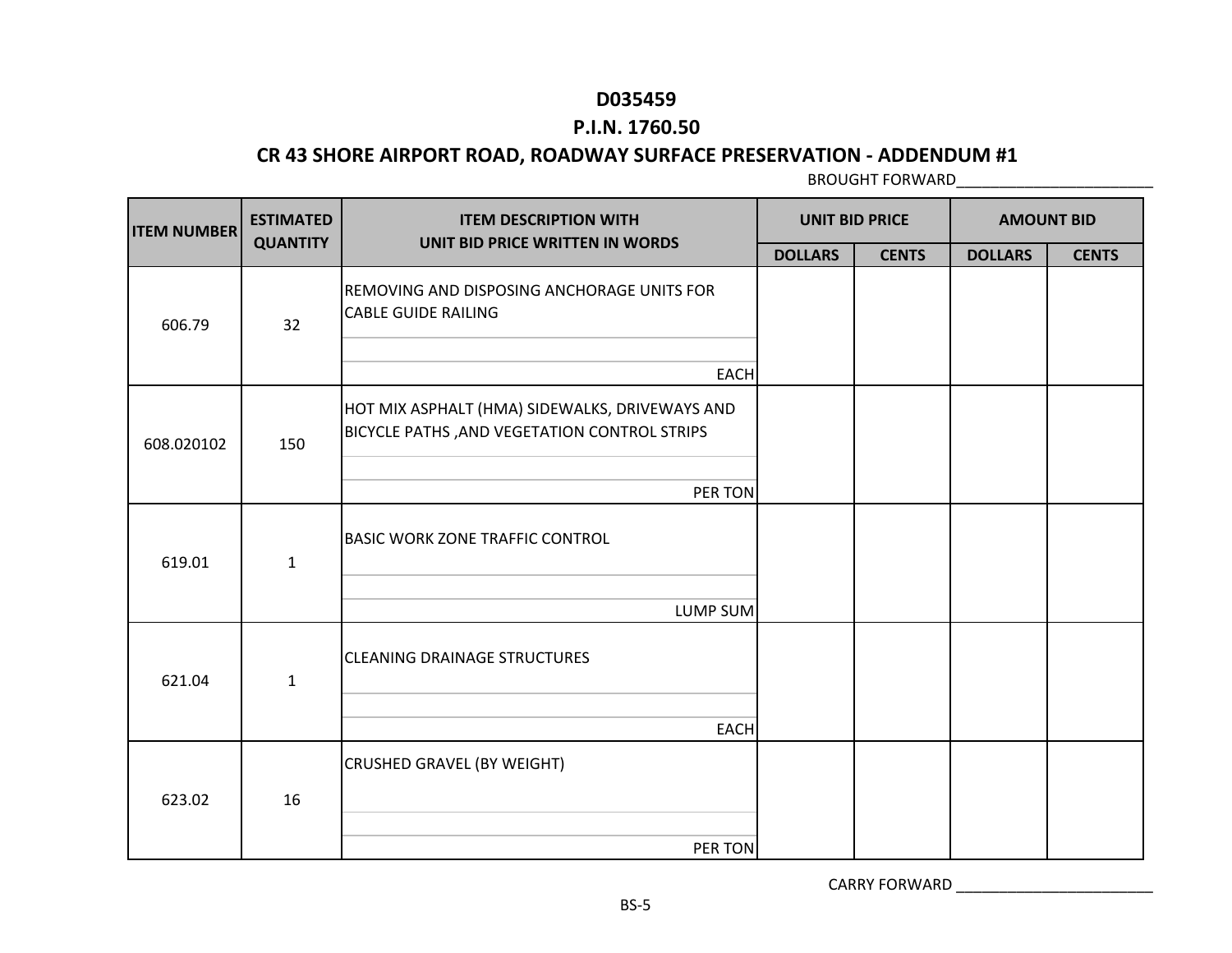### **P.I.N. 1760.50**

### **CR 43 SHORE AIRPORT ROAD, ROADWAY SURFACE PRESERVATION - ADDENDUM #1**

BROUGHT FORWARD\_\_\_\_\_\_\_\_\_\_\_\_\_\_\_\_\_\_\_\_\_\_\_

| <b>ITEM NUMBER</b> | <b>ESTIMATED</b> | <b>ITEM DESCRIPTION WITH</b>                                                                          | <b>UNIT BID PRICE</b> |              | <b>AMOUNT BID</b> |              |
|--------------------|------------------|-------------------------------------------------------------------------------------------------------|-----------------------|--------------|-------------------|--------------|
|                    | <b>QUANTITY</b>  | UNIT BID PRICE WRITTEN IN WORDS                                                                       | <b>DOLLARS</b>        | <b>CENTS</b> | <b>DOLLARS</b>    | <b>CENTS</b> |
| 606.79             | 32               | REMOVING AND DISPOSING ANCHORAGE UNITS FOR<br><b>CABLE GUIDE RAILING</b>                              |                       |              |                   |              |
|                    |                  | <b>EACH</b>                                                                                           |                       |              |                   |              |
| 608.020102         | 150              | HOT MIX ASPHALT (HMA) SIDEWALKS, DRIVEWAYS AND<br><b>BICYCLE PATHS, AND VEGETATION CONTROL STRIPS</b> |                       |              |                   |              |
|                    |                  | PER TON                                                                                               |                       |              |                   |              |
| 619.01             | $\mathbf{1}$     | <b>BASIC WORK ZONE TRAFFIC CONTROL</b>                                                                |                       |              |                   |              |
|                    |                  | <b>LUMP SUM</b>                                                                                       |                       |              |                   |              |
| 621.04             | 1                | <b>CLEANING DRAINAGE STRUCTURES</b>                                                                   |                       |              |                   |              |
|                    |                  | <b>EACH</b>                                                                                           |                       |              |                   |              |
| 623.02             | 16               | <b>CRUSHED GRAVEL (BY WEIGHT)</b>                                                                     |                       |              |                   |              |
|                    |                  | PER TON                                                                                               |                       |              |                   |              |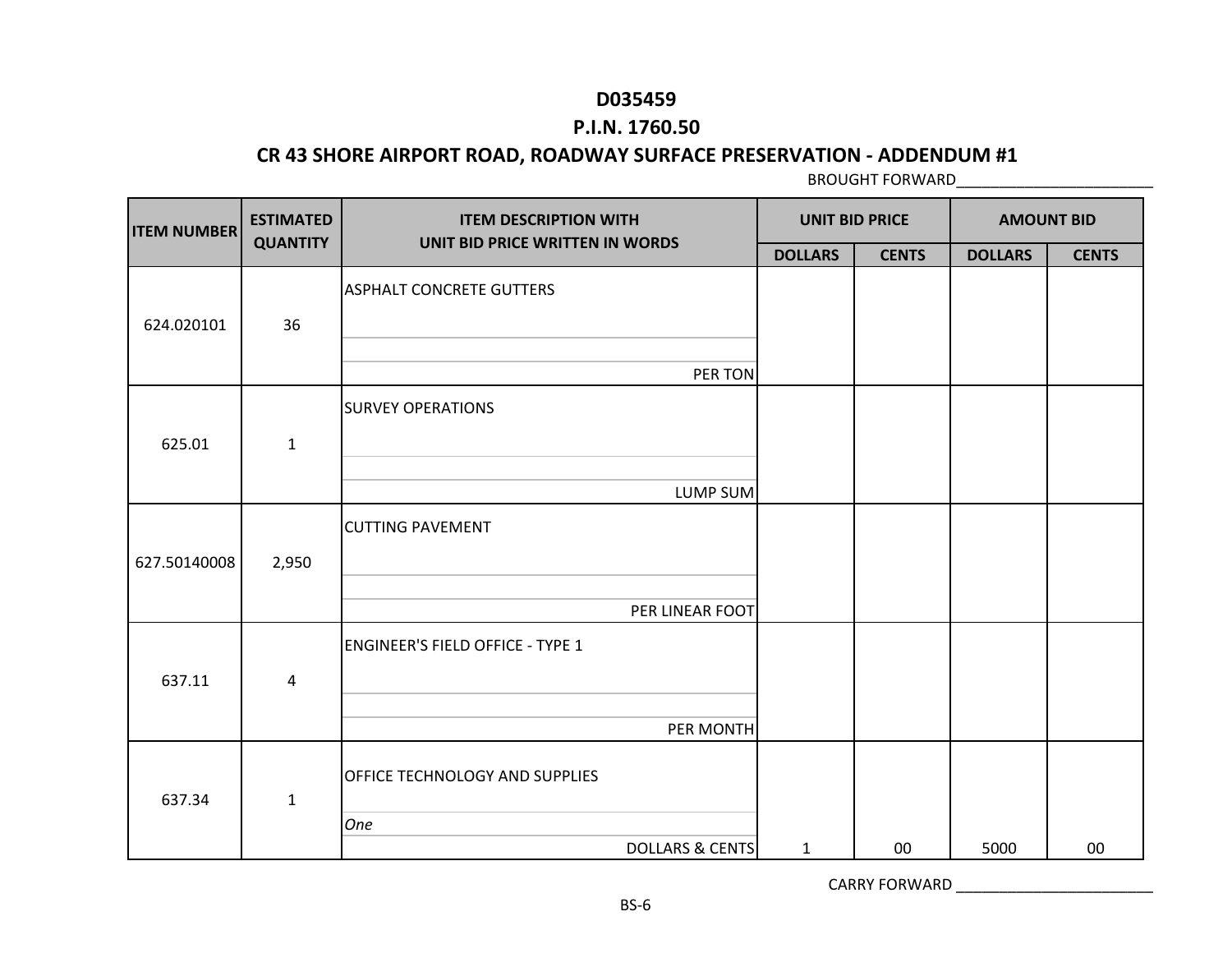### **P.I.N. 1760.50**

#### **CR 43 SHORE AIRPORT ROAD, ROADWAY SURFACE PRESERVATION - ADDENDUM #1**

BROUGHT FORWARD\_\_\_\_\_\_\_\_\_\_\_\_\_\_\_\_\_\_\_\_\_\_\_

| <b>ITEM NUMBER</b> | <b>ESTIMATED</b> | <b>ITEM DESCRIPTION WITH</b>            | <b>UNIT BID PRICE</b> |              | <b>AMOUNT BID</b> |              |
|--------------------|------------------|-----------------------------------------|-----------------------|--------------|-------------------|--------------|
|                    | <b>QUANTITY</b>  | UNIT BID PRICE WRITTEN IN WORDS         | <b>DOLLARS</b>        | <b>CENTS</b> | <b>DOLLARS</b>    | <b>CENTS</b> |
| 624.020101         | 36               | <b>ASPHALT CONCRETE GUTTERS</b>         |                       |              |                   |              |
|                    |                  | PER TON                                 |                       |              |                   |              |
| 625.01             | $\mathbf{1}$     | <b>SURVEY OPERATIONS</b>                |                       |              |                   |              |
|                    |                  | LUMP SUM                                |                       |              |                   |              |
| 627.50140008       | 2,950            | <b>CUTTING PAVEMENT</b>                 |                       |              |                   |              |
|                    |                  | PER LINEAR FOOT                         |                       |              |                   |              |
| 637.11             | 4                | <b>ENGINEER'S FIELD OFFICE - TYPE 1</b> |                       |              |                   |              |
|                    |                  | PER MONTH                               |                       |              |                   |              |
| 637.34             | $\mathbf{1}$     | <b>OFFICE TECHNOLOGY AND SUPPLIES</b>   |                       |              |                   |              |
|                    |                  | One<br><b>DOLLARS &amp; CENTS</b>       | $\mathbf{1}$          | 00           | 5000              | 00           |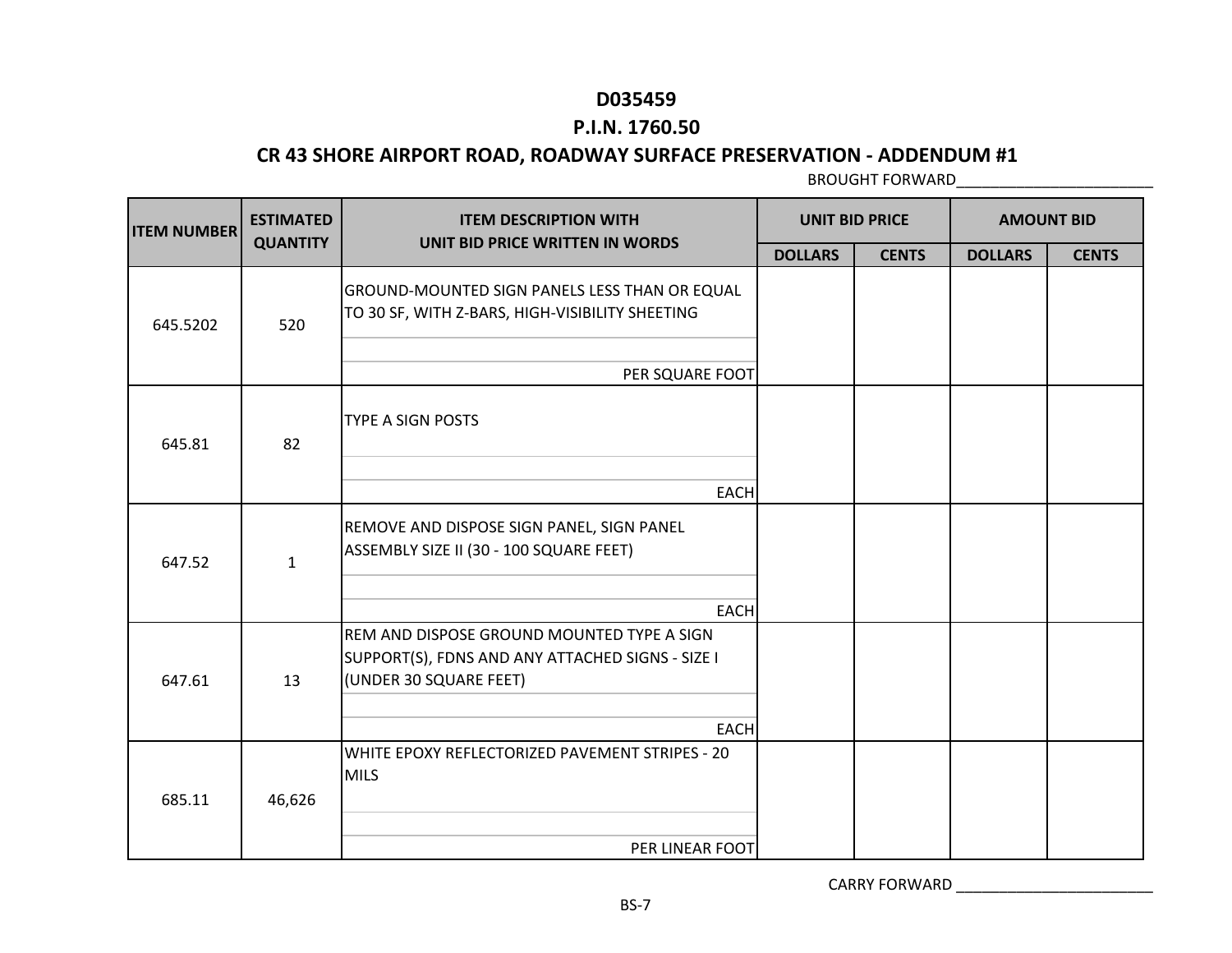### **P.I.N. 1760.50**

### **CR 43 SHORE AIRPORT ROAD, ROADWAY SURFACE PRESERVATION - ADDENDUM #1**

BROUGHT FORWARD\_\_\_\_\_\_\_\_\_\_\_\_\_\_\_\_\_\_\_\_\_\_\_

| <b>ITEM NUMBER</b> | <b>ESTIMATED</b> | <b>ITEM DESCRIPTION WITH</b>                                                                                             | <b>UNIT BID PRICE</b> |              | <b>AMOUNT BID</b> |              |
|--------------------|------------------|--------------------------------------------------------------------------------------------------------------------------|-----------------------|--------------|-------------------|--------------|
|                    | <b>QUANTITY</b>  | UNIT BID PRICE WRITTEN IN WORDS                                                                                          | <b>DOLLARS</b>        | <b>CENTS</b> | <b>DOLLARS</b>    | <b>CENTS</b> |
| 645.5202           | 520              | <b>GROUND-MOUNTED SIGN PANELS LESS THAN OR EQUAL</b><br>TO 30 SF, WITH Z-BARS, HIGH-VISIBILITY SHEETING                  |                       |              |                   |              |
|                    |                  | PER SQUARE FOOT                                                                                                          |                       |              |                   |              |
| 645.81             | 82               | <b>TYPE A SIGN POSTS</b>                                                                                                 |                       |              |                   |              |
|                    |                  | <b>EACH</b>                                                                                                              |                       |              |                   |              |
| 647.52             | $\mathbf{1}$     | REMOVE AND DISPOSE SIGN PANEL, SIGN PANEL<br>ASSEMBLY SIZE II (30 - 100 SQUARE FEET)                                     |                       |              |                   |              |
|                    |                  | <b>EACH</b>                                                                                                              |                       |              |                   |              |
| 647.61             | 13               | REM AND DISPOSE GROUND MOUNTED TYPE A SIGN<br>SUPPORT(S), FDNS AND ANY ATTACHED SIGNS - SIZE I<br>(UNDER 30 SQUARE FEET) |                       |              |                   |              |
|                    |                  | <b>EACH</b>                                                                                                              |                       |              |                   |              |
| 685.11             | 46,626           | WHITE EPOXY REFLECTORIZED PAVEMENT STRIPES - 20<br><b>MILS</b>                                                           |                       |              |                   |              |
|                    |                  | PER LINEAR FOOT                                                                                                          |                       |              |                   |              |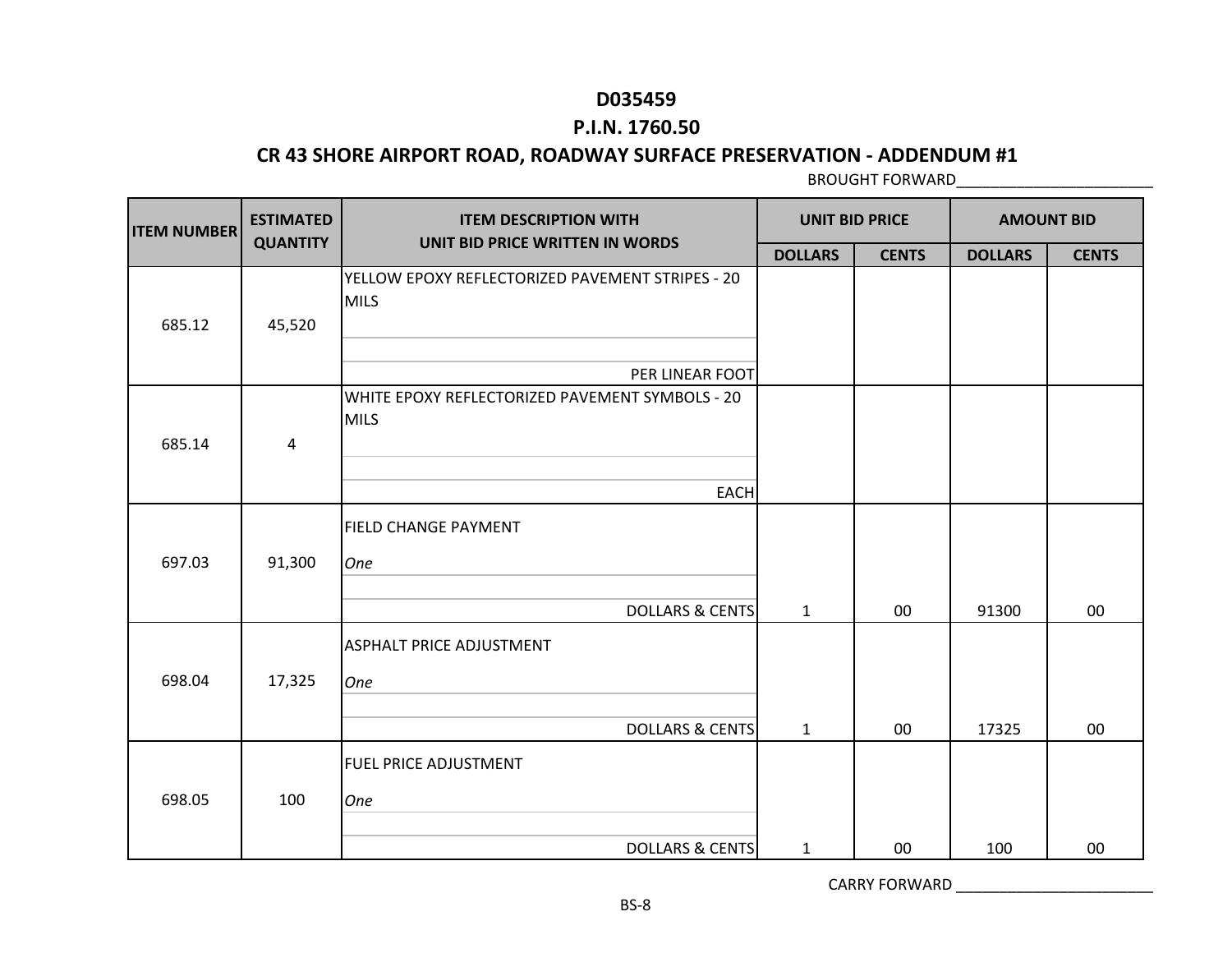### **P.I.N. 1760.50**

#### **CR 43 SHORE AIRPORT ROAD, ROADWAY SURFACE PRESERVATION - ADDENDUM #1**

BROUGHT FORWARD\_\_\_\_\_\_\_\_\_\_\_\_\_\_\_\_\_\_\_\_\_\_\_

| <b>ITEM NUMBER</b> | <b>ESTIMATED</b> | <b>ITEM DESCRIPTION WITH</b>                                    | <b>UNIT BID PRICE</b> |              | <b>AMOUNT BID</b> |              |
|--------------------|------------------|-----------------------------------------------------------------|-----------------------|--------------|-------------------|--------------|
|                    | <b>QUANTITY</b>  | UNIT BID PRICE WRITTEN IN WORDS                                 | <b>DOLLARS</b>        | <b>CENTS</b> | <b>DOLLARS</b>    | <b>CENTS</b> |
| 685.12             | 45,520           | YELLOW EPOXY REFLECTORIZED PAVEMENT STRIPES - 20<br><b>MILS</b> |                       |              |                   |              |
|                    |                  | PER LINEAR FOOT                                                 |                       |              |                   |              |
| 685.14             | 4                | WHITE EPOXY REFLECTORIZED PAVEMENT SYMBOLS - 20<br><b>MILS</b>  |                       |              |                   |              |
|                    |                  | <b>EACH</b>                                                     |                       |              |                   |              |
| 697.03             | 91,300           | <b>FIELD CHANGE PAYMENT</b><br>One                              |                       |              |                   |              |
|                    |                  | <b>DOLLARS &amp; CENTS</b>                                      | $\mathbf{1}$          | 00           | 91300             | 00           |
| 698.04             | 17,325           | <b>ASPHALT PRICE ADJUSTMENT</b><br>One                          |                       |              |                   |              |
|                    |                  | <b>DOLLARS &amp; CENTS</b>                                      | $\mathbf{1}$          | 00           | 17325             | 00           |
| 698.05             | 100              | <b>FUEL PRICE ADJUSTMENT</b><br>One                             |                       |              |                   |              |
|                    |                  | <b>DOLLARS &amp; CENTS</b>                                      | $\mathbf{1}$          | 00           | 100               | $00\,$       |